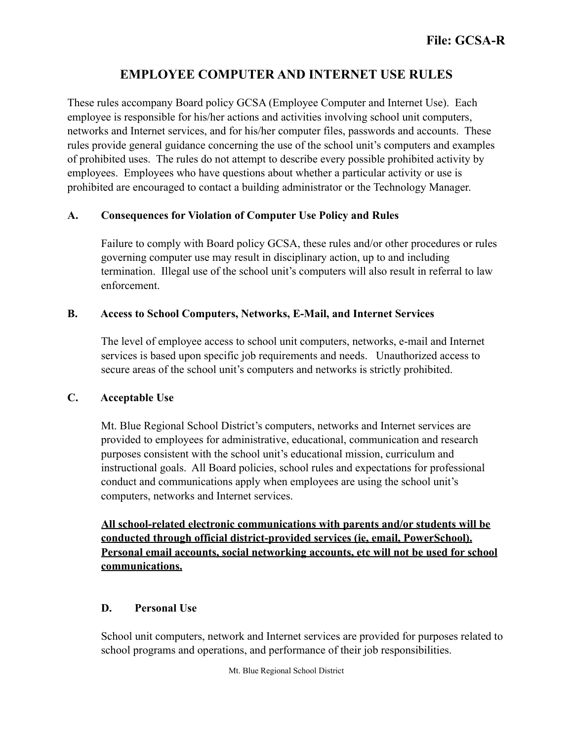# **EMPLOYEE COMPUTER AND INTERNET USE RULES**

These rules accompany Board policy GCSA (Employee Computer and Internet Use). Each employee is responsible for his/her actions and activities involving school unit computers, networks and Internet services, and for his/her computer files, passwords and accounts. These rules provide general guidance concerning the use of the school unit's computers and examples of prohibited uses. The rules do not attempt to describe every possible prohibited activity by employees. Employees who have questions about whether a particular activity or use is prohibited are encouraged to contact a building administrator or the Technology Manager.

#### **A. Consequences for Violation of Computer Use Policy and Rules**

Failure to comply with Board policy GCSA, these rules and/or other procedures or rules governing computer use may result in disciplinary action, up to and including termination. Illegal use of the school unit's computers will also result in referral to law enforcement.

## **B. Access to School Computers, Networks, E-Mail, and Internet Services**

The level of employee access to school unit computers, networks, e-mail and Internet services is based upon specific job requirements and needs. Unauthorized access to secure areas of the school unit's computers and networks is strictly prohibited.

#### **C. Acceptable Use**

Mt. Blue Regional School District's computers, networks and Internet services are provided to employees for administrative, educational, communication and research purposes consistent with the school unit's educational mission, curriculum and instructional goals. All Board policies, school rules and expectations for professional conduct and communications apply when employees are using the school unit's computers, networks and Internet services.

**All school-related electronic communications with parents and/or students will be conducted through official district-provided services (ie, email, PowerSchool). Personal email accounts, social networking accounts, etc will not be used for school communications.**

# **D. Personal Use**

 School unit computers, network and Internet services are provided for purposes related to school programs and operations, and performance of their job responsibilities.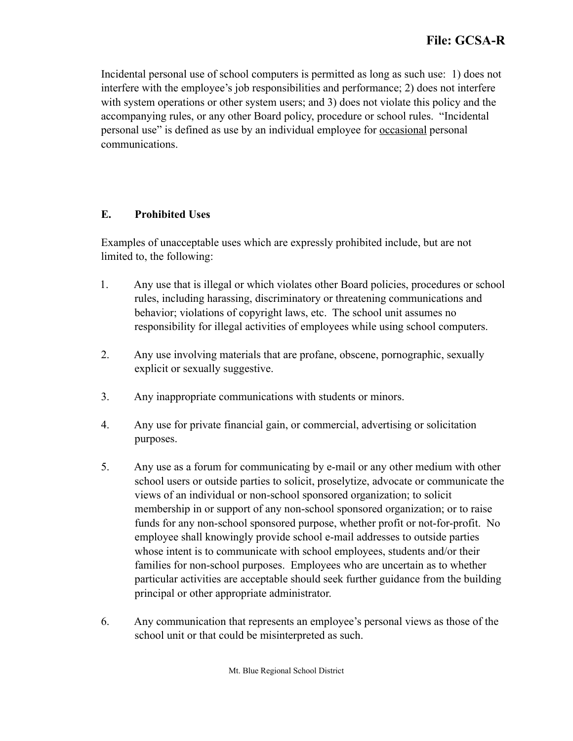Incidental personal use of school computers is permitted as long as such use: 1) does not interfere with the employee's job responsibilities and performance; 2) does not interfere with system operations or other system users; and 3) does not violate this policy and the accompanying rules, or any other Board policy, procedure or school rules. "Incidental personal use" is defined as use by an individual employee for occasional personal communications.

## **E. Prohibited Uses**

 Examples of unacceptable uses which are expressly prohibited include, but are not limited to, the following:

- 1. Any use that is illegal or which violates other Board policies, procedures or school rules, including harassing, discriminatory or threatening communications and behavior; violations of copyright laws, etc. The school unit assumes no responsibility for illegal activities of employees while using school computers.
- 2. Any use involving materials that are profane, obscene, pornographic, sexually explicit or sexually suggestive.
- 3. Any inappropriate communications with students or minors.
- 4. Any use for private financial gain, or commercial, advertising or solicitation purposes.
- 5. Any use as a forum for communicating by e-mail or any other medium with other school users or outside parties to solicit, proselytize, advocate or communicate the views of an individual or non-school sponsored organization; to solicit membership in or support of any non-school sponsored organization; or to raise funds for any non-school sponsored purpose, whether profit or not-for-profit. No employee shall knowingly provide school e-mail addresses to outside parties whose intent is to communicate with school employees, students and/or their families for non-school purposes. Employees who are uncertain as to whether particular activities are acceptable should seek further guidance from the building principal or other appropriate administrator.
- 6. Any communication that represents an employee's personal views as those of the school unit or that could be misinterpreted as such.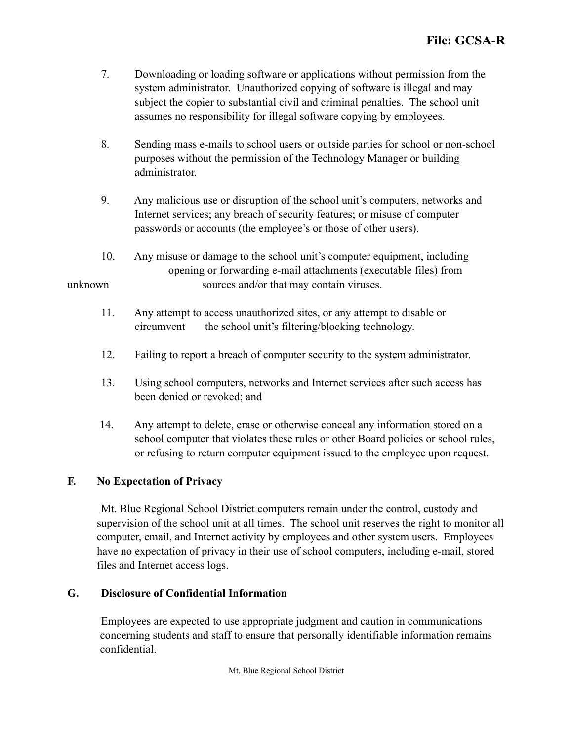- 7. Downloading or loading software or applications without permission from the system administrator. Unauthorized copying of software is illegal and may subject the copier to substantial civil and criminal penalties. The school unit assumes no responsibility for illegal software copying by employees.
- 8. Sending mass e-mails to school users or outside parties for school or non-school purposes without the permission of the Technology Manager or building administrator.
- 9. Any malicious use or disruption of the school unit's computers, networks and Internet services; any breach of security features; or misuse of computer passwords or accounts (the employee's or those of other users).
- 10. Any misuse or damage to the school unit's computer equipment, including opening or forwarding e-mail attachments (executable files) from unknown sources and/or that may contain viruses.
	- 11. Any attempt to access unauthorized sites, or any attempt to disable or circumvent the school unit's filtering/blocking technology.
	- 12. Failing to report a breach of computer security to the system administrator.
	- 13. Using school computers, networks and Internet services after such access has been denied or revoked; and
	- 14. Any attempt to delete, erase or otherwise conceal any information stored on a school computer that violates these rules or other Board policies or school rules, or refusing to return computer equipment issued to the employee upon request.

# **F. No Expectation of Privacy**

 Mt. Blue Regional School District computers remain under the control, custody and supervision of the school unit at all times. The school unit reserves the right to monitor all computer, email, and Internet activity by employees and other system users. Employees have no expectation of privacy in their use of school computers, including e-mail, stored files and Internet access logs.

## **G. Disclosure of Confidential Information**

 Employees are expected to use appropriate judgment and caution in communications concerning students and staff to ensure that personally identifiable information remains confidential.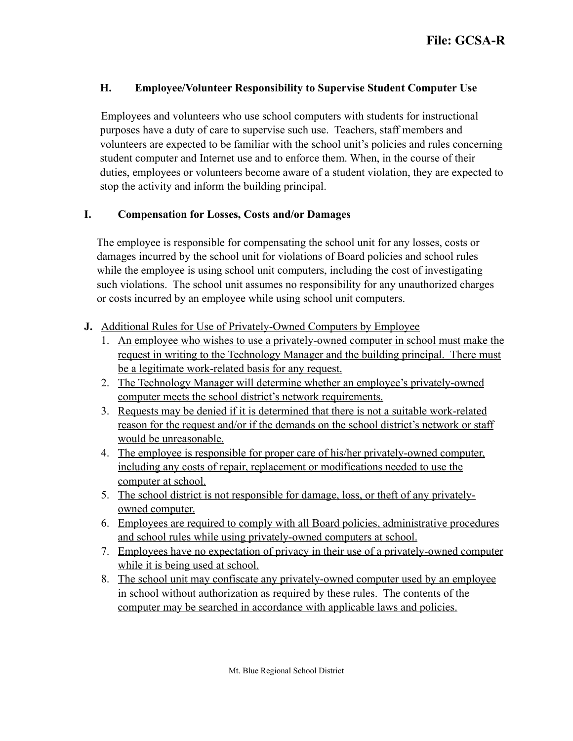## **H. Employee/Volunteer Responsibility to Supervise Student Computer Use**

 Employees and volunteers who use school computers with students for instructional purposes have a duty of care to supervise such use. Teachers, staff members and volunteers are expected to be familiar with the school unit's policies and rules concerning student computer and Internet use and to enforce them. When, in the course of their duties, employees or volunteers become aware of a student violation, they are expected to stop the activity and inform the building principal.

#### **I. Compensation for Losses, Costs and/or Damages**

 The employee is responsible for compensating the school unit for any losses, costs or damages incurred by the school unit for violations of Board policies and school rules while the employee is using school unit computers, including the cost of investigating such violations. The school unit assumes no responsibility for any unauthorized charges or costs incurred by an employee while using school unit computers.

- **J.** Additional Rules for Use of Privately-Owned Computers by Employee
	- 1. An employee who wishes to use a privately-owned computer in school must make the request in writing to the Technology Manager and the building principal. There must be a legitimate work-related basis for any request.
	- 2. The Technology Manager will determine whether an employee's privately-owned computer meets the school district's network requirements.
	- 3. Requests may be denied if it is determined that there is not a suitable work-related reason for the request and/or if the demands on the school district's network or staff would be unreasonable.
	- 4. The employee is responsible for proper care of his/her privately-owned computer, including any costs of repair, replacement or modifications needed to use the computer at school.
	- 5. The school district is not responsible for damage, loss, or theft of any privatelyowned computer.
	- 6. Employees are required to comply with all Board policies, administrative procedures and school rules while using privately-owned computers at school.
	- 7. Employees have no expectation of privacy in their use of a privately-owned computer while it is being used at school.
	- 8. The school unit may confiscate any privately-owned computer used by an employee in school without authorization as required by these rules. The contents of the computer may be searched in accordance with applicable laws and policies.